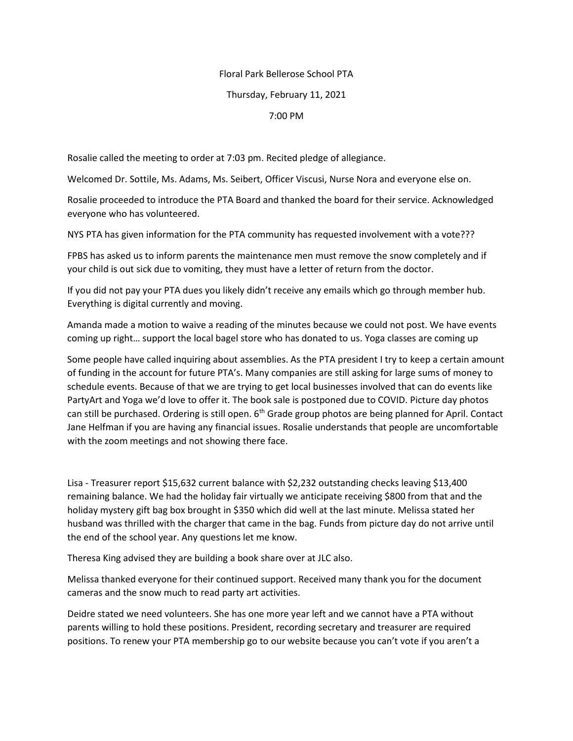## Floral Park Bellerose School PTA

## Thursday, February 11, 2021

## 7:00 PM

Rosalie called the meeting to order at 7:03 pm. Recited pledge of allegiance.

Welcomed Dr. Sottile, Ms. Adams, Ms. Seibert, Officer Viscusi, Nurse Nora and everyone else on.

Rosalie proceeded to introduce the PTA Board and thanked the board for their service. Acknowledged everyone who has volunteered.

NYS PTA has given information for the PTA community has requested involvement with a vote???

FPBS has asked us to inform parents the maintenance men must remove the snow completely and if your child is out sick due to vomiting, they must have a letter of return from the doctor.

If you did not pay your PTA dues you likely didn't receive any emails which go through member hub. Everything is digital currently and moving.

Amanda made a motion to waive a reading of the minutes because we could not post. We have events coming up right… support the local bagel store who has donated to us. Yoga classes are coming up

Some people have called inquiring about assemblies. As the PTA president I try to keep a certain amount of funding in the account for future PTA's. Many companies are still asking for large sums of money to schedule events. Because of that we are trying to get local businesses involved that can do events like PartyArt and Yoga we'd love to offer it. The book sale is postponed due to COVID. Picture day photos can still be purchased. Ordering is still open. 6<sup>th</sup> Grade group photos are being planned for April. Contact Jane Helfman if you are having any financial issues. Rosalie understands that people are uncomfortable with the zoom meetings and not showing there face.

Lisa - Treasurer report \$15,632 current balance with \$2,232 outstanding checks leaving \$13,400 remaining balance. We had the holiday fair virtually we anticipate receiving \$800 from that and the holiday mystery gift bag box brought in \$350 which did well at the last minute. Melissa stated her husband was thrilled with the charger that came in the bag. Funds from picture day do not arrive until the end of the school year. Any questions let me know.

Theresa King advised they are building a book share over at JLC also.

Melissa thanked everyone for their continued support. Received many thank you for the document cameras and the snow much to read party art activities.

Deidre stated we need volunteers. She has one more year left and we cannot have a PTA without parents willing to hold these positions. President, recording secretary and treasurer are required positions. To renew your PTA membership go to our website because you can't vote if you aren't a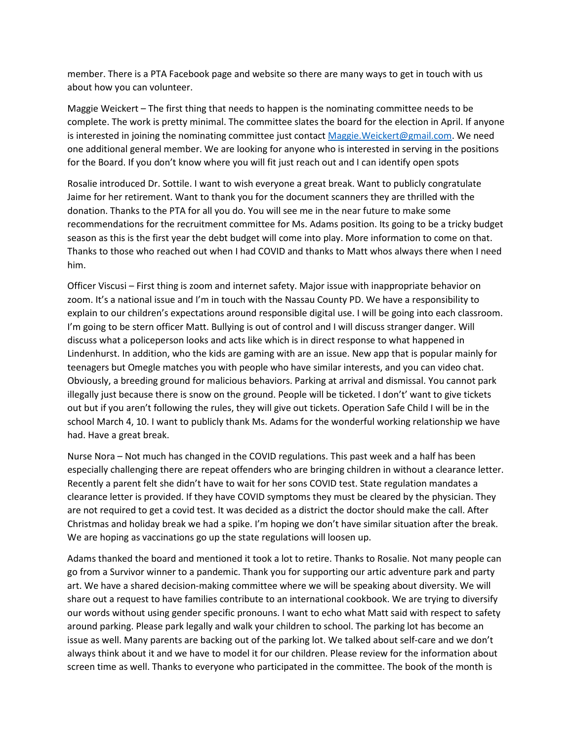member. There is a PTA Facebook page and website so there are many ways to get in touch with us about how you can volunteer.

Maggie Weickert – The first thing that needs to happen is the nominating committee needs to be complete. The work is pretty minimal. The committee slates the board for the election in April. If anyone is interested in joining the nominating committee just contact Maggie. Weickert@gmail.com. We need one additional general member. We are looking for anyone who is interested in serving in the positions for the Board. If you don't know where you will fit just reach out and I can identify open spots

Rosalie introduced Dr. Sottile. I want to wish everyone a great break. Want to publicly congratulate Jaime for her retirement. Want to thank you for the document scanners they are thrilled with the donation. Thanks to the PTA for all you do. You will see me in the near future to make some recommendations for the recruitment committee for Ms. Adams position. Its going to be a tricky budget season as this is the first year the debt budget will come into play. More information to come on that. Thanks to those who reached out when I had COVID and thanks to Matt whos always there when I need him.

Officer Viscusi – First thing is zoom and internet safety. Major issue with inappropriate behavior on zoom. It's a national issue and I'm in touch with the Nassau County PD. We have a responsibility to explain to our children's expectations around responsible digital use. I will be going into each classroom. I'm going to be stern officer Matt. Bullying is out of control and I will discuss stranger danger. Will discuss what a policeperson looks and acts like which is in direct response to what happened in Lindenhurst. In addition, who the kids are gaming with are an issue. New app that is popular mainly for teenagers but Omegle matches you with people who have similar interests, and you can video chat. Obviously, a breeding ground for malicious behaviors. Parking at arrival and dismissal. You cannot park illegally just because there is snow on the ground. People will be ticketed. I don't' want to give tickets out but if you aren't following the rules, they will give out tickets. Operation Safe Child I will be in the school March 4, 10. I want to publicly thank Ms. Adams for the wonderful working relationship we have had. Have a great break.

Nurse Nora – Not much has changed in the COVID regulations. This past week and a half has been especially challenging there are repeat offenders who are bringing children in without a clearance letter. Recently a parent felt she didn't have to wait for her sons COVID test. State regulation mandates a clearance letter is provided. If they have COVID symptoms they must be cleared by the physician. They are not required to get a covid test. It was decided as a district the doctor should make the call. After Christmas and holiday break we had a spike. I'm hoping we don't have similar situation after the break. We are hoping as vaccinations go up the state regulations will loosen up.

Adams thanked the board and mentioned it took a lot to retire. Thanks to Rosalie. Not many people can go from a Survivor winner to a pandemic. Thank you for supporting our artic adventure park and party art. We have a shared decision-making committee where we will be speaking about diversity. We will share out a request to have families contribute to an international cookbook. We are trying to diversify our words without using gender specific pronouns. I want to echo what Matt said with respect to safety around parking. Please park legally and walk your children to school. The parking lot has become an issue as well. Many parents are backing out of the parking lot. We talked about self-care and we don't always think about it and we have to model it for our children. Please review for the information about screen time as well. Thanks to everyone who participated in the committee. The book of the month is